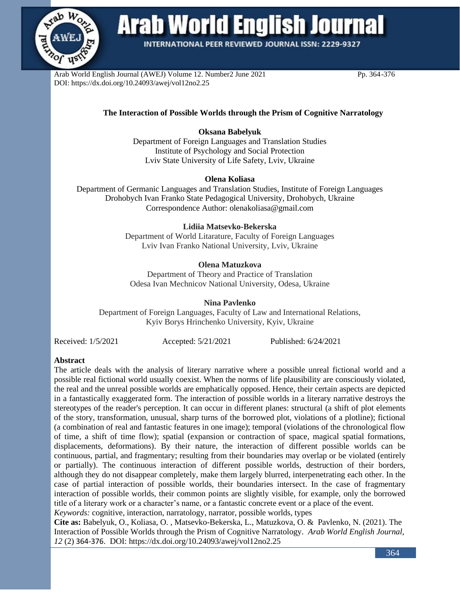

# **Arab World English Journal**

**INTERNATIONAL PEER REVIEWED JOURNAL ISSN: 2229-9327** 

Arab World English Journal (AWEJ) Volume 12. Number2 June 2021 Pp. 364-376 DOI: https://dx.doi.org/10.24093/awej/vol12no2.25

### **The Interaction of Possible Worlds through the Prism of Cognitive Narratology**

## **Oksana Babelyuk**

Department of Foreign Languages and Translation Studies Institute of Psychology and Social Protection Lviv State University of Life Safety, Lviv, Ukraine

#### **Olena Koliasa**

Department of Germanic Languages and Translation Studies, Institute of Foreign Languages Drohobych Ivan Franko State Pedagogical University, Drohobych, Ukraine Correspondence Author: olenakoliasa@gmail.com

#### **Lidiia Matsevko-Bekerska**

Department of World Litarature, Faculty of Foreign Languages Lviv Ivan Franko National University, Lviv, Ukraine

### **Olena Matuzkova**

Department of Theory and Practice of Translation Odesa Ivan Mechnicov National University, Odesa, Ukraine

**Nina Pavlenko**

Department of Foreign Languages, Faculty of Law and International Relations, Kyiv Borys Hrinchenko University, Kyiv, Ukraine

Received: 1/5/2021 Accepted: 5/21/2021 Published: 6/24/2021

#### **Abstract**

The article deals with the analysis of literary narrative where a possible unreal fictional world and a possible real fictional world usually coexist. When the norms of life plausibility are consciously violated, the real and the unreal possible worlds are emphatically opposed. Hence, their certain aspects are depicted in a fantastically exaggerated form. The interaction of possible worlds in a literary narrative destroys the stereotypes of the reader's perception. It can occur in different planes: structural (a shift of plot elements of the story, transformation, unusual, sharp turns of the borrowed plot, violations of a plotline); fictional (a combination of real and fantastic features in one image); temporal (violations of the chronological flow of time, a shift of time flow); spatial (expansion or contraction of space, magical spatial formations, displacements, deformations). By their nature, the interaction of different possible worlds can be continuous, partial, and fragmentary; resulting from their boundaries may overlap or be violated (entirely or partially). The continuous interaction of different possible worlds, destruction of their borders, although they do not disappear completely, make them largely blurred, interpenetrating each other. In the case of partial interaction of possible worlds, their boundaries intersect. In the case of fragmentary interaction of possible worlds, their common points are slightly visible, for example, only the borrowed title of a literary work or a character's name, or a fantastic concrete event or a place of the event.

*Keywords:* cognitive, interaction, narratology, narrator, possible worlds, types

**Cite as:** Babelyuk, O., Koliasa, O. , Matsevko-Bekerska, L., Matuzkova, O. & Pavlenko, N. (2021). The Interaction of Possible Worlds through the Prism of Cognitive Narratology. *Arab World English Journal, 12* (2) 364-376. DOI: https://dx.doi.org/10.24093/awej/vol12no2.25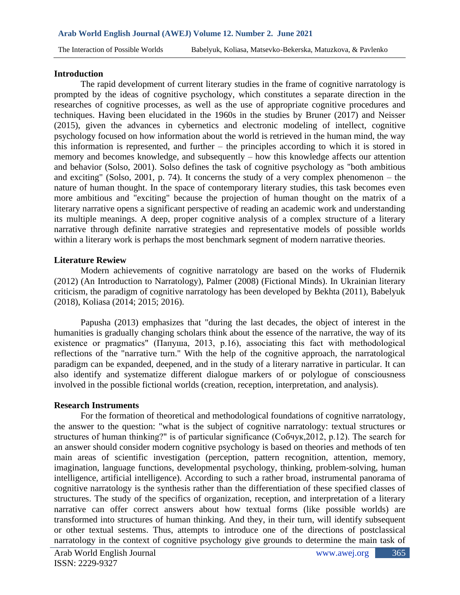The Interaction of Possible Worlds Babelyuk, Koliasa, Matsevko-Bekerska, Matuzkova, & Pavlenko

### **Introduction**

The rapid development of current literary studies in the frame of cognitive narratology is prompted by the ideas of cognitive psychology, which constitutes a separate direction in the researches of cognitive processes, as well as the use of appropriate cognitive procedures and techniques. Having been elucidated in the 1960s in the studies by Bruner (2017) and Neisser (2015), given the advances in cybernetics and electronic modeling of intellect, cognitive psychology focused on how information about the world is retrieved in the human mind, the way this information is represented, and further – the principles according to which it is stored in memory and becomes knowledge, and subsequently – how this knowledge affects our attention and behavior (Solso, 2001). Solso defines the task of cognitive psychology as "both ambitious and exciting" (Solso, 2001, p. 74). It concerns the study of a very complex phenomenon – the nature of human thought. In the space of contemporary literary studies, this task becomes even more ambitious and "exciting" because the projection of human thought on the matrix of a literary narrative opens a significant perspective of reading an academic work and understanding its multiple meanings. A deep, proper cognitive analysis of a complex structure of a literary narrative through definite narrative strategies and representative models of possible worlds within a literary work is perhaps the most benchmark segment of modern narrative theories.

# **Literature Rewiew**

Modern achievements of cognitive narratology are based on the works of Fludernik (2012) (An Introduction to Narratology), Palmer (2008) (Fictional Minds). In Ukrainian literary criticism, the paradigm of cognitive narratology has been developed by Bekhta (2011), Babelyuk (2018), Koliasa (2014; 2015; 2016).

Papusha (2013) emphasizes that "during the last decades, the object of interest in the humanities is gradually changing scholars think about the essence of the narrative, the way of its existence or pragmatics" (Папуша, 2013, p.16), associating this fact with methodological reflections of the "narrative turn." With the help of the cognitive approach, the narratological paradigm can be expanded, deepened, and in the study of a literary narrative in particular. It can also identify and systematize different dialogue markers of or polylogue of consciousness involved in the possible fictional worlds (creation, reception, interpretation, and analysis).

### **Research Instruments**

For the formation of theoretical and methodological foundations of cognitive narratology, the answer to the question: "what is the subject of cognitive narratology: textual structures or structures of human thinking?" is of particular significance (Собчук,2012, p.12). The search for an answer should consider modern cognitive psychology is based on theories and methods of ten main areas of scientific investigation (perception, pattern recognition, attention, memory, imagination, language functions, developmental psychology, thinking, problem-solving, human intelligence, artificial intelligence). According to such a rather broad, instrumental panorama of cognitive narratology is the synthesis rather than the differentiation of these specified classes of structures. The study of the specifics of organization, reception, and interpretation of a literary narrative can offer correct answers about how textual forms (like possible worlds) are transformed into structures of human thinking. And they, in their turn, will identify subsequent or other textual sestems. Thus, attempts to introduce one of the directions of postclassical narratology in the context of cognitive psychology give grounds to determine the main task of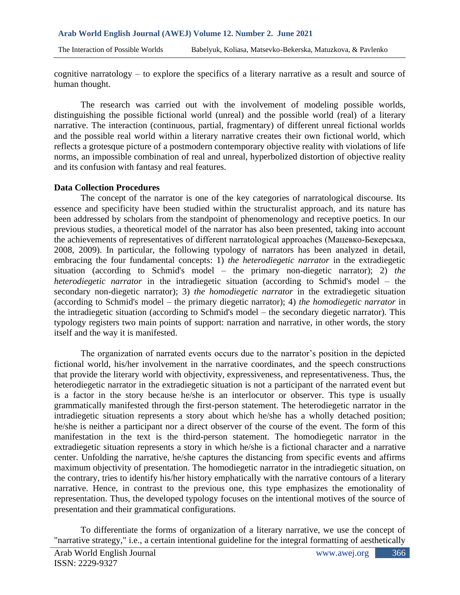cognitive narratology – to explore the specifics of a literary narrative as a result and source of human thought.

The research was carried out with the involvement of modeling possible worlds, distinguishing the possible fictional world (unreal) and the possible world (real) of a literary narrative. The interaction (continuous, partial, fragmentary) of different unreal fictional worlds and the possible real world within a literary narrative creates their own fictional world, which reflects a grotesque picture of a postmodern contemporary objective reality with violations of life norms, an impossible combination of real and unreal, hyperbolized distortion of objective reality and its confusion with fantasy and real features.

### **Data Collection Procedures**

The concept of the narrator is one of the key categories of narratological discourse. Its essence and specificity have been studied within the structuralist approach, and its nature has been addressed by scholars from the standpoint of phenomenology and receptive poetics. In our previous studies, a theoretical model of the narrator has also been presented, taking into account the achievements of representatives of different narratological approaches (Мацевко-Бекерська, 2008, 2009). In particular, the following typology of narrators has been analyzed in detail, embracing the four fundamental concepts: 1) *the heterodiegetic narrator* in the extradiegetic situation (according to Schmid's model – the primary non-diegetic narrator); 2) *the heterodiegetic narrator* in the intradiegetic situation (according to Schmid's model – the secondary non-diegetic narrator); 3) *the homodiegetic narrator* in the extradiegetic situation (according to Schmid's model – the primary diegetic narrator); 4) *the homodiegetic narrator* in the intradiegetic situation (according to Schmid's model – the secondary diegetic narrator). This typology registers two main points of support: narration and narrative, in other words, the story itself and the way it is manifested.

The organization of narrated events occurs due to the narrator's position in the depicted fictional world, his/her involvement in the narrative coordinates, and the speech constructions that provide the literary world with objectivity, expressiveness, and representativeness. Thus, the heterodiegetic narrator in the extradiegetic situation is not a participant of the narrated event but is a factor in the story because he/she is an interlocutor or observer. This type is usually grammatically manifested through the first-person statement. The heterodiegetic narrator in the intradiegetic situation represents a story about which he/she has a wholly detached position; he/she is neither a participant nor a direct observer of the course of the event. The form of this manifestation in the text is the third-person statement. The homodiegetic narrator in the extradiegetic situation represents a story in which he/she is a fictional character and a narrative center. Unfolding the narrative, he/she captures the distancing from specific events and affirms maximum objectivity of presentation. The homodiegetic narrator in the intradiegetic situation, on the contrary, tries to identify his/her history emphatically with the narrative contours of a literary narrative. Hence, in contrast to the previous one, this type emphasizes the emotionality of representation. Thus, the developed typology focuses on the intentional motives of the source of presentation and their grammatical configurations.

To differentiate the forms of organization of a literary narrative, we use the concept of "narrative strategy," i.e., a certain intentional guideline for the integral formatting of aesthetically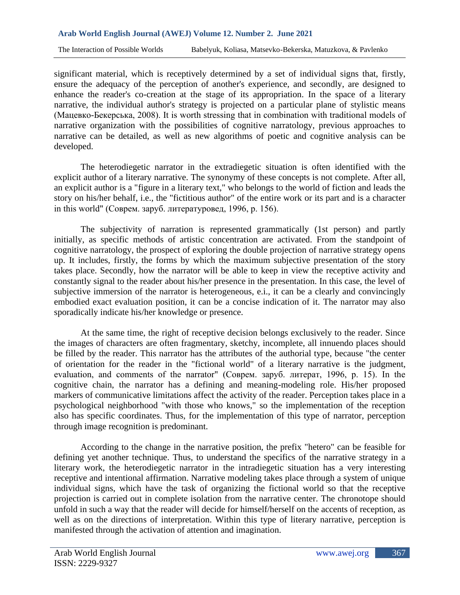significant material, which is receptively determined by a set of individual signs that, firstly, ensure the adequacy of the perception of another's experience, and secondly, are designed to enhance the reader's co-creation at the stage of its appropriation. In the space of a literary narrative, the individual author's strategy is projected on a particular plane of stylistic means (Мацевко-Бекерська, 2008). It is worth stressing that in combination with traditional models of narrative organization with the possibilities of cognitive narratology, previous approaches to narrative can be detailed, as well as new algorithms of poetic and cognitive analysis can be developed.

The heterodiegetic narrator in the extradiegetic situation is often identified with the explicit author of a literary narrative. The synonymy of these concepts is not complete. After all, an explicit author is a "figure in a literary text," who belongs to the world of fiction and leads the story on his/her behalf, i.e., the "fictitious author" of the entire work or its part and is a character in this world" (Соврем. заруб. литературовед, 1996, p. 156).

The subjectivity of narration is represented grammatically (1st person) and partly initially, as specific methods of artistic concentration are activated. From the standpoint of cognitive narratology, the prospect of exploring the double projection of narrative strategy opens up. It includes, firstly, the forms by which the maximum subjective presentation of the story takes place. Secondly, how the narrator will be able to keep in view the receptive activity and constantly signal to the reader about his/her presence in the presentation. In this case, the level of subjective immersion of the narrator is heterogeneous, e.i., it can be a clearly and convincingly embodied exact evaluation position, it can be a concise indication of it. The narrator may also sporadically indicate his/her knowledge or presence.

At the same time, the right of receptive decision belongs exclusively to the reader. Since the images of characters are often fragmentary, sketchy, incomplete, all innuendo places should be filled by the reader. This narrator has the attributes of the authorial type, because "the center of orientation for the reader in the "fictional world" of a literary narrative is the judgment, evaluation, and comments of the narrator" (Соврем. заруб. литерат, 1996, p. 15). In the cognitive chain, the narrator has a defining and meaning-modeling role. His/her proposed markers of communicative limitations affect the activity of the reader. Perception takes place in a psychological neighborhood "with those who knows," so the implementation of the reception also has specific coordinates. Thus, for the implementation of this type of narrator, perception through image recognition is predominant.

According to the change in the narrative position, the prefix "hetero" can be feasible for defining yet another technique. Thus, to understand the specifics of the narrative strategy in a literary work, the heterodiegetic narrator in the intradiegetic situation has a very interesting receptive and intentional affirmation. Narrative modeling takes place through a system of unique individual signs, which have the task of organizing the fictional world so that the receptive projection is carried out in complete isolation from the narrative center. The chronotope should unfold in such a way that the reader will decide for himself/herself on the accents of reception, as well as on the directions of interpretation. Within this type of literary narrative, perception is manifested through the activation of attention and imagination.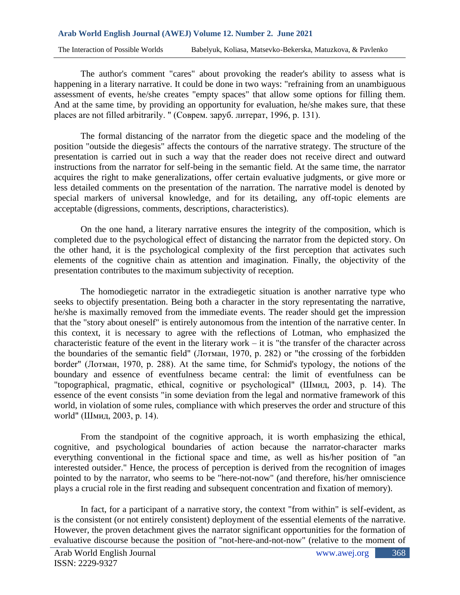The Interaction of Possible Worlds Babelyuk, Koliasa, Matsevko-Bekerska, Matuzkova, & Pavlenko

The author's comment "cares" about provoking the reader's ability to assess what is happening in a literary narrative. It could be done in two ways: "refraining from an unambiguous assessment of events, he/she creates "empty spaces" that allow some options for filling them. And at the same time, by providing an opportunity for evaluation, he/she makes sure, that these places are not filled arbitrarily. " (Соврем. заруб. литерат, 1996, p. 131).

The formal distancing of the narrator from the diegetic space and the modeling of the position "outside the diegesis" affects the contours of the narrative strategy. The structure of the presentation is carried out in such a way that the reader does not receive direct and outward instructions from the narrator for self-being in the semantic field. At the same time, the narrator acquires the right to make generalizations, offer certain evaluative judgments, or give more or less detailed comments on the presentation of the narration. The narrative model is denoted by special markers of universal knowledge, and for its detailing, any off-topic elements are acceptable (digressions, comments, descriptions, characteristics).

On the one hand, a literary narrative ensures the integrity of the composition, which is completed due to the psychological effect of distancing the narrator from the depicted story. On the other hand, it is the psychological complexity of the first perception that activates such elements of the cognitive chain as attention and imagination. Finally, the objectivity of the presentation contributes to the maximum subjectivity of reception.

The homodiegetic narrator in the extradiegetic situation is another narrative type who seeks to objectify presentation. Being both a character in the story representating the narrative, he/she is maximally removed from the immediate events. The reader should get the impression that the "story about oneself" is entirely autonomous from the intention of the narrative center. In this context, it is necessary to agree with the reflections of Lotman, who emphasized the characteristic feature of the event in the literary work – it is "the transfer of the character across the boundaries of the semantic field" (Лотман, 1970, p. 282) or "the crossing of the forbidden border" (Лотман, 1970, p. 288). At the same time, for Schmid's typology, the notions of the boundary and essence of eventfulness became central: the limit of eventfulness can be "topographical, pragmatic, ethical, cognitive or psychological" (Шмид, 2003, p. 14). The essence of the event consists "in some deviation from the legal and normative framework of this world, in violation of some rules, compliance with which preserves the order and structure of this world" (Шмид, 2003, p. 14).

From the standpoint of the cognitive approach, it is worth emphasizing the ethical, cognitive, and psychological boundaries of action because the narrator-character marks everything conventional in the fictional space and time, as well as his/her position of "an interested outsider." Hence, the process of perception is derived from the recognition of images pointed to by the narrator, who seems to be "here-not-now" (and therefore, his/her omniscience plays a crucial role in the first reading and subsequent concentration and fixation of memory).

In fact, for a participant of a narrative story, the context "from within" is self-evident, as is the consistent (or not entirely consistent) deployment of the essential elements of the narrative. However, the proven detachment gives the narrator significant opportunities for the formation of evaluative discourse because the position of "not-here-and-not-now" (relative to the moment of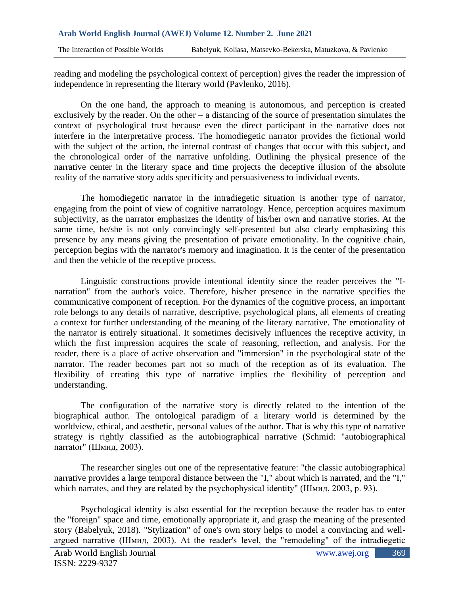reading and modeling the psychological context of perception) gives the reader the impression of independence in representing the literary world (Pavlenko, 2016).

On the one hand, the approach to meaning is autonomous, and perception is created exclusively by the reader. On the other – a distancing of the source of presentation simulates the context of psychological trust because even the direct participant in the narrative does not interfere in the interpretative process. The homodiegetic narrator provides the fictional world with the subject of the action, the internal contrast of changes that occur with this subject, and the chronological order of the narrative unfolding. Outlining the physical presence of the narrative center in the literary space and time projects the deceptive illusion of the absolute reality of the narrative story adds specificity and persuasiveness to individual events.

The homodiegetic narrator in the intradiegetic situation is another type of narrator, engaging from the point of view of cognitive narratology. Hence, perception acquires maximum subjectivity, as the narrator emphasizes the identity of his/her own and narrative stories. At the same time, he/she is not only convincingly self-presented but also clearly emphasizing this presence by any means giving the presentation of private emotionality. In the cognitive chain, perception begins with the narrator's memory and imagination. It is the center of the presentation and then the vehicle of the receptive process.

Linguistic constructions provide intentional identity since the reader perceives the "Inarration" from the author's voice. Therefore, his/her presence in the narrative specifies the communicative component of reception. For the dynamics of the cognitive process, an important role belongs to any details of narrative, descriptive, psychological plans, all elements of creating a context for further understanding of the meaning of the literary narrative. The emotionality of the narrator is entirely situational. It sometimes decisively influences the receptive activity, in which the first impression acquires the scale of reasoning, reflection, and analysis. For the reader, there is a place of active observation and "immersion" in the psychological state of the narrator. The reader becomes part not so much of the reception as of its evaluation. The flexibility of creating this type of narrative implies the flexibility of perception and understanding.

The configuration of the narrative story is directly related to the intention of the biographical author. The ontological paradigm of a literary world is determined by the worldview, ethical, and aesthetic, personal values of the author. That is why this type of narrative strategy is rightly classified as the autobiographical narrative (Schmid: "autobiographical narrator" (Шмид, 2003).

The researcher singles out one of the representative feature: "the classic autobiographical narrative provides a large temporal distance between the "I," about which is narrated, and the "I," which narrates, and they are related by the psychophysical identity" (Шмид, 2003, p. 93).

Psychological identity is also essential for the reception because the reader has to enter the "foreign" space and time, emotionally appropriate it, and grasp the meaning of the presented story (Babelyuk, 2018). "Stylization" of one's own story helps to model a convincing and wellargued narrative (Шмид, 2003). At the reader's level, the "remodeling" of the intradiegetic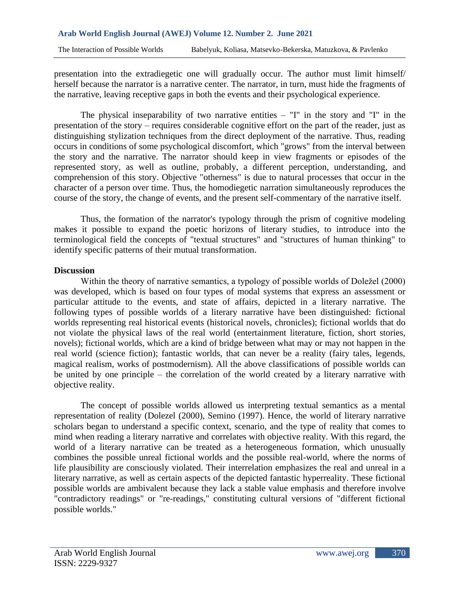presentation into the extradiegetic one will gradually occur. The author must limit himself/ herself because the narrator is a narrative center. The narrator, in turn, must hide the fragments of the narrative, leaving receptive gaps in both the events and their psychological experience.

The physical inseparability of two narrative entities  $-$  "I" in the story and "I" in the presentation of the story – requires considerable cognitive effort on the part of the reader, just as distinguishing stylization techniques from the direct deployment of the narrative. Thus, reading occurs in conditions of some psychological discomfort, which "grows" from the interval between the story and the narrative. The narrator should keep in view fragments or episodes of the represented story, as well as outline, probably, a different perception, understanding, and comprehension of this story. Objective "otherness" is due to natural processes that occur in the character of a person over time. Thus, the homodiegetic narration simultaneously reproduces the course of the story, the change of events, and the present self-commentary of the narrative itself.

Thus, the formation of the narrator's typology through the prism of cognitive modeling makes it possible to expand the poetic horizons of literary studies, to introduce into the terminological field the concepts of "textual structures" and "structures of human thinking" to identify specific patterns of their mutual transformation.

# **Discussion**

Within the theory of narrative semantics, a typology of possible worlds of Doležel (2000) was developed, which is based on four types of modal systems that express an assessment or particular attitude to the events, and state of affairs, depicted in a literary narrative. The following types of possible worlds of a literary narrative have been distinguished: fictional worlds representing real historical events (historical novels, chronicles); fictional worlds that do not violate the physical laws of the real world (entertainment literature, fiction, short stories, novels); fictional worlds, which are a kind of bridge between what may or may not happen in the real world (science fiction); fantastic worlds, that can never be a reality (fairy tales, legends, magical realism, works of postmodernism). All the above classifications of possible worlds can be united by one principle – the correlation of the world created by a literary narrative with objective reality.

The concept of possible worlds allowed us interpreting textual semantics as a mental representation of reality (Dolezel (2000), Semino (1997). Hence, the world of literary narrative scholars began to understand a specific context, scenario, and the type of reality that comes to mind when reading a literary narrative and correlates with objective reality. With this regard, the world of a literary narrative can be treated as a heterogeneous formation, which unusually combines the possible unreal fictional worlds and the possible real-world, where the norms of life plausibility are consciously violated. Their interrelation emphasizes the real and unreal in a literary narrative, as well as certain aspects of the depicted fantastic hyperreality. These fictional possible worlds are ambivalent because they lack a stable value emphasis and therefore involve "contradictory readings" or "re-readings," constituting cultural versions of "different fictional possible worlds."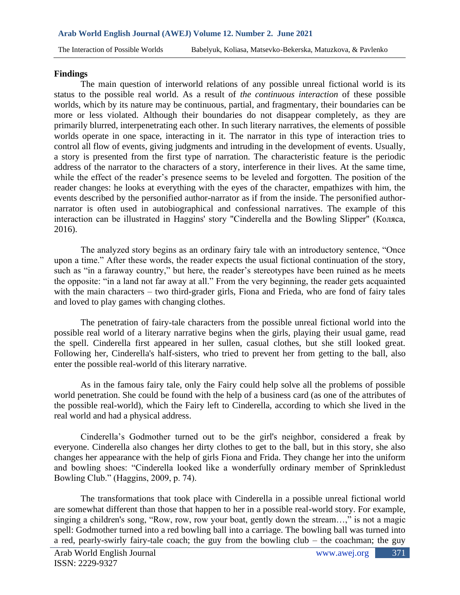The Interaction of Possible Worlds Babelyuk, Koliasa, Matsevko-Bekerska, Matuzkova, & Pavlenko

# **Findings**

The main question of interworld relations of any possible unreal fictional world is its status to the possible real world. As a result of *the continuous interaction* of these possible worlds, which by its nature may be continuous, partial, and fragmentary, their boundaries can be more or less violated. Although their boundaries do not disappear completely, as they are primarily blurred, interpenetrating each other. In such literary narratives, the elements of possible worlds operate in one space, interacting in it. The narrator in this type of interaction tries to control all flow of events, giving judgments and intruding in the development of events. Usually, a story is presented from the first type of narration. The characteristic feature is the periodic address of the narrator to the characters of a story, interference in their lives. At the same time, while the effect of the reader's presence seems to be leveled and forgotten. The position of the reader changes: he looks at everything with the eyes of the character, empathizes with him, the events described by the personified author-narrator as if from the inside. The personified authornarrator is often used in autobiographical and confessional narratives. The example of this interaction can be illustrated in Haggins' story "Cinderella and the Bowling Slipper" (Коляса, 2016).

The analyzed story begins as an ordinary fairy tale with an introductory sentence, "Once upon a time." After these words, the reader expects the usual fictional continuation of the story, such as "in a faraway country," but here, the reader's stereotypes have been ruined as he meets the opposite: "in a land not far away at all." From the very beginning, the reader gets acquainted with the main characters – two third-grader girls, Fiona and Frieda, who are fond of fairy tales and loved to play games with changing clothes.

The penetration of fairy-tale characters from the possible unreal fictional world into the possible real world of a literary narrative begins when the girls, playing their usual game, read the spell. Cinderella first appeared in her sullen, casual clothes, but she still looked great. Following her, Cinderella's half-sisters, who tried to prevent her from getting to the ball, also enter the possible real-world of this literary narrative.

As in the famous fairy tale, only the Fairy could help solve all the problems of possible world penetration. She could be found with the help of a business card (as one of the attributes of the possible real-world), which the Fairy left to Cinderella, according to which she lived in the real world and had a physical address.

Cinderella's Godmother turned out to be the girl's neighbor, considered a freak by everyone. Cinderella also changes her dirty clothes to get to the ball, but in this story, she also changes her appearance with the help of girls Fiona and Frida. They change her into the uniform and bowling shoes: "Cinderella looked like a wonderfully ordinary member of Sprinkledust Bowling Club." (Haggins, 2009, p. 74).

The transformations that took place with Cinderella in a possible unreal fictional world are somewhat different than those that happen to her in a possible real-world story. For example, singing a children's song, "Row, row, row your boat, gently down the stream...," is not a magic spell: Godmother turned into a red bowling ball into a carriage. The bowling ball was turned into a red, pearly-swirly fairy-tale coach; the guy from the bowling club – the coachman; the guy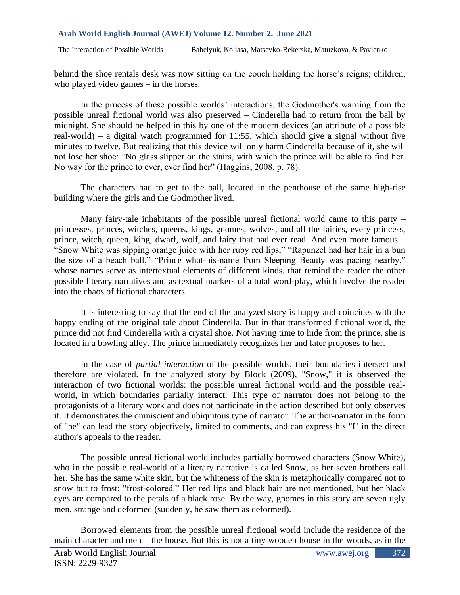behind the shoe rentals desk was now sitting on the couch holding the horse's reigns; children, who played video games – in the horses.

In the process of these possible worlds' interactions, the Godmother's warning from the possible unreal fictional world was also preserved – Cinderella had to return from the ball by midnight. She should be helped in this by one of the modern devices (an attribute of a possible real-world) – a digital watch programmed for 11:55, which should give a signal without five minutes to twelve. But realizing that this device will only harm Cinderella because of it, she will not lose her shoe: "No glass slipper on the stairs, with which the prince will be able to find her. No way for the prince to ever, ever find her" (Haggins, 2008, p. 78).

The characters had to get to the ball, located in the penthouse of the same high-rise building where the girls and the Godmother lived.

Many fairy-tale inhabitants of the possible unreal fictional world came to this party – princesses, princes, witches, queens, kings, gnomes, wolves, and all the fairies, every princess, prince, witch, queen, king, dwarf, wolf, and fairy that had ever read. And even more famous – "Snow White was sipping orange juice with her ruby red lips," "Rapunzel had her hair in a bun the size of a beach ball," "Prince what-his-name from Sleeping Beauty was pacing nearby," whose names serve as intertextual elements of different kinds, that remind the reader the other possible literary narratives and as textual markers of a total word-play, which involve the reader into the chaos of fictional characters.

It is interesting to say that the end of the analyzed story is happy and coincides with the happy ending of the original tale about Cinderella. But in that transformed fictional world, the prince did not find Cinderella with a crystal shoe. Not having time to hide from the prince, she is located in a bowling alley. The prince immediately recognizes her and later proposes to her.

In the case of *partial interaction* of the possible worlds, their boundaries intersect and therefore are violated. In the analyzed story by Block (2009), "Snow," it is observed the interaction of two fictional worlds: the possible unreal fictional world and the possible realworld, in which boundaries partially interact. This type of narrator does not belong to the protagonists of a literary work and does not participate in the action described but only observes it. It demonstrates the omniscient and ubiquitous type of narrator. The author-narrator in the form of "he" can lead the story objectively, limited to comments, and can express his "I" in the direct author's appeals to the reader.

The possible unreal fictional world includes partially borrowed characters (Snow White), who in the possible real-world of a literary narrative is called Snow, as her seven brothers call her. She has the same white skin, but the whiteness of the skin is metaphorically compared not to snow but to frost: "frost-colored." Her red lips and black hair are not mentioned, but her black eyes are compared to the petals of a black rose. By the way, gnomes in this story are seven ugly men, strange and deformed (suddenly, he saw them as deformed).

Borrowed elements from the possible unreal fictional world include the residence of the main character and men – the house. But this is not a tiny wooden house in the woods, as in the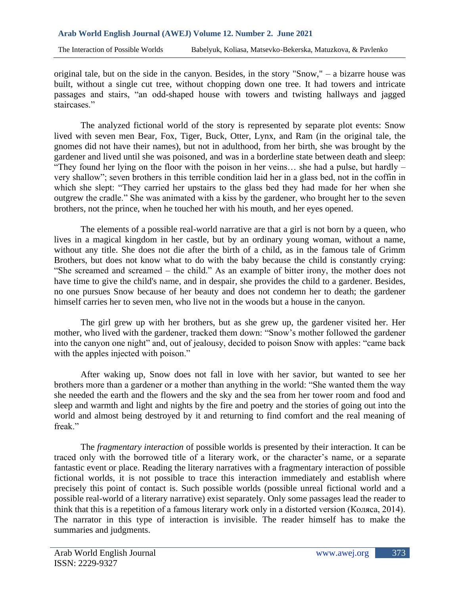original tale, but on the side in the canyon. Besides, in the story "Snow," – a bizarre house was built, without a single cut tree, without chopping down one tree. It had towers and intricate passages and stairs, "an odd-shaped house with towers and twisting hallways and jagged staircases."

The analyzed fictional world of the story is represented by separate plot events: Snow lived with seven men Bear, Fox, Tiger, Buck, Otter, Lynx, and Ram (in the original tale, the gnomes did not have their names), but not in adulthood, from her birth, she was brought by the gardener and lived until she was poisoned, and was in a borderline state between death and sleep: "They found her lying on the floor with the poison in her veins… she had a pulse, but hardly – very shallow"; seven brothers in this terrible condition laid her in a glass bed, not in the coffin in which she slept: "They carried her upstairs to the glass bed they had made for her when she outgrew the cradle." She was animated with a kiss by the gardener, who brought her to the seven brothers, not the prince, when he touched her with his mouth, and her eyes opened.

The elements of a possible real-world narrative are that a girl is not born by a queen, who lives in a magical kingdom in her castle, but by an ordinary young woman, without a name, without any title. She does not die after the birth of a child, as in the famous tale of Grimm Brothers, but does not know what to do with the baby because the child is constantly crying: "She screamed and screamed – the child." As an example of bitter irony, the mother does not have time to give the child's name, and in despair, she provides the child to a gardener. Besides, no one pursues Snow because of her beauty and does not condemn her to death; the gardener himself carries her to seven men, who live not in the woods but a house in the canyon.

The girl grew up with her brothers, but as she grew up, the gardener visited her. Her mother, who lived with the gardener, tracked them down: "Snow's mother followed the gardener into the canyon one night" and, out of jealousy, decided to poison Snow with apples: "came back with the apples injected with poison."

After waking up, Snow does not fall in love with her savior, but wanted to see her brothers more than a gardener or a mother than anything in the world: "She wanted them the way she needed the earth and the flowers and the sky and the sea from her tower room and food and sleep and warmth and light and nights by the fire and poetry and the stories of going out into the world and almost being destroyed by it and returning to find comfort and the real meaning of freak."

The *fragmentary interaction* of possible worlds is presented by their interaction. It can be traced only with the borrowed title of a literary work, or the character's name, or a separate fantastic event or place. Reading the literary narratives with a fragmentary interaction of possible fictional worlds, it is not possible to trace this interaction immediately and establish where precisely this point of contact is. Such possible worlds (possible unreal fictional world and a possible real-world of a literary narrative) exist separately. Only some passages lead the reader to think that this is a repetition of a famous literary work only in a distorted version (Коляса, 2014). The narrator in this type of interaction is invisible. The reader himself has to make the summaries and judgments.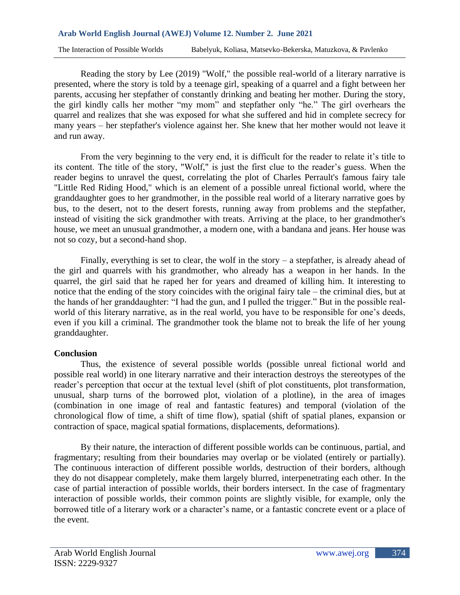Reading the story by Lee (2019) "Wolf," the possible real-world of a literary narrative is presented, where the story is told by a teenage girl, speaking of a quarrel and a fight between her parents, accusing her stepfather of constantly drinking and beating her mother. During the story, the girl kindly calls her mother "my mom" and stepfather only "he." The girl overhears the quarrel and realizes that she was exposed for what she suffered and hid in complete secrecy for many years – her stepfather's violence against her. She knew that her mother would not leave it and run away.

From the very beginning to the very end, it is difficult for the reader to relate it's title to its content. The title of the story, "Wolf," is just the first clue to the reader's guess. When the reader begins to unravel the quest, correlating the plot of Charles Perrault's famous fairy tale "Little Red Riding Hood," which is an element of a possible unreal fictional world, where the granddaughter goes to her grandmother, in the possible real world of a literary narrative goes by bus, to the desert, not to the desert forests, running away from problems and the stepfather, instead of visiting the sick grandmother with treats. Arriving at the place, to her grandmother's house, we meet an unusual grandmother, a modern one, with a bandana and jeans. Her house was not so cozy, but a second-hand shop.

Finally, everything is set to clear, the wolf in the story  $-$  a stepfather, is already ahead of the girl and quarrels with his grandmother, who already has a weapon in her hands. In the quarrel, the girl said that he raped her for years and dreamed of killing him. It interesting to notice that the ending of the story coincides with the original fairy tale – the criminal dies, but at the hands of her granddaughter: "I had the gun, and I pulled the trigger." But in the possible realworld of this literary narrative, as in the real world, you have to be responsible for one's deeds, even if you kill a criminal. The grandmother took the blame not to break the life of her young granddaughter.

### **Conclusion**

Thus, the existence of several possible worlds (possible unreal fictional world and possible real world) in one literary narrative and their interaction destroys the stereotypes of the reader's perception that occur at the textual level (shift of plot constituents, plot transformation, unusual, sharp turns of the borrowed plot, violation of a plotline), in the area of images (combination in one image of real and fantastic features) and temporal (violation of the chronological flow of time, a shift of time flow), spatial (shift of spatial planes, expansion or contraction of space, magical spatial formations, displacements, deformations).

By their nature, the interaction of different possible worlds can be continuous, partial, and fragmentary; resulting from their boundaries may overlap or be violated (entirely or partially). The continuous interaction of different possible worlds, destruction of their borders, although they do not disappear completely, make them largely blurred, interpenetrating each other. In the case of partial interaction of possible worlds, their borders intersect. In the case of fragmentary interaction of possible worlds, their common points are slightly visible, for example, only the borrowed title of a literary work or a character's name, or a fantastic concrete event or a place of the event.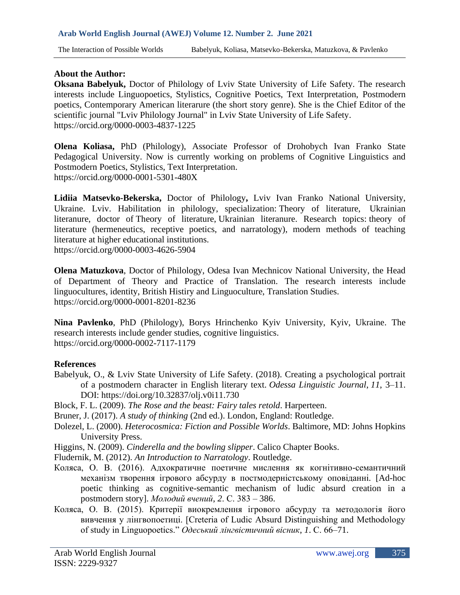# **About the Author:**

**Oksana Babelyuk,** Doctor of Philology of Lviv State University of Life Safety. The research interests include Linguopoetics, Stylistics, Cognitive Poetics, Text Interpretation, Postmodern poetics, Contemporary American literarure (the short story genre). She is the Chief Editor of the scientific journal "Lviv Philology Journal" in Lviv State University of Life Safety. <https://orcid.org/0000-0003-4837-1225>

**Olena Koliasa,** PhD (Philology), Associate Professor of Drohobych Ivan Franko State Pedagogical University. Now is currently working on problems of Cognitive Linguistics and Postmodern Poetics, Stylistics, Text Interpretation. <https://orcid.org/0000-0001-5301-480X>

**Lidiia Matsevko-Bekerska,** Doctor of Philology**,** Lviv Ivan Franko National University, Ukraine. Lviv. Habilitation in philology, specialization: Theory of literature, Ukrainian literanure, doctor of Theory of literature, Ukrainian literanure. Research topics: theory of literature (hermeneutics, receptive poetics, and narratology), modern methods of teaching literature at higher educational institutions.

<https://orcid.org/0000-0003-4626-5904>

**Olena Matuzkova**, Doctor of Philology, Odesa Ivan Mechnicov National University, the Head of Department of Theory and Practice of Translation. The research interests include linguocultures, identity, British Histiry and Linguoculture, Translation Studies. <https://orcid.org/0000-0001-8201-8236>

**Nina Pavlenko**, PhD (Philology), Borys Hrinchenko Kyiv University, Kyiv, Ukraine. The research interests include gender studies, cognitive linguistics. <https://orcid.org/0000-0002-7117-1179>

### **References**

- Babelyuk, O., & Lviv State University of Life Safety. (2018). Creating a psychological portrait of a postmodern character in English literary text. *Odessa Linguistic Journal*, *11*, 3–11. DOI: <https://doi.org/10.32837/olj.v0i11.730>
- Block, F. L. (2009). *The Rose and the beast: Fairy tales retold*. Harperteen.

Bruner, J. (2017). *A study of thinking* (2nd ed.). London, England: Routledge.

- Dolezel, L. (2000). *Heterocosmica: Fiction and Possible Worlds*. Baltimore, MD: Johns Hopkins University Press.
- Higgins, N. (2009). *Cinderella and the bowling slipper*. Calico Chapter Books.
- Fludernik, M. (2012). *An Introduction to Narratology*. Routledge.
- Коляса, О. В. (2016). Адхократичне поетичне мислення як когнітивно-семантичний механізм творення ігрового абсурду в постмодерністському оповіданні*.* [Ad-hoc poetic thinking as cognitive-semantic mechanism of ludic absurd creation in a postmodern story]. *Молодий вчений*, *2*. С. 383 – 386.
- Коляса, О. В. (2015). Критерії виокремлення ігрового абсурду та методологія його вивчення у лінгвопоетиці. [Creteria of Ludic Absurd Distinguishing and Methodology of study in Linguopoetics." *Одеський лінгвістичний вісник*, *1*. С. 66–71.